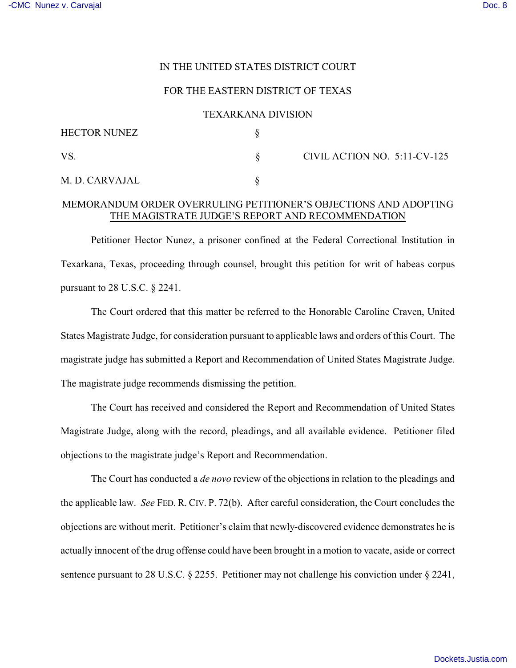## IN THE UNITED STATES DISTRICT COURT

#### FOR THE EASTERN DISTRICT OF TEXAS

#### TEXARKANA DIVISION

| <b>HECTOR NUNEZ</b> |                              |
|---------------------|------------------------------|
| VS                  | CIVIL ACTION NO. 5:11-CV-125 |
| M. D. CARVAJAL      |                              |

# MEMORANDUM ORDER OVERRULING PETITIONER'S OBJECTIONS AND ADOPTING THE MAGISTRATE JUDGE'S REPORT AND RECOMMENDATION

Petitioner Hector Nunez, a prisoner confined at the Federal Correctional Institution in Texarkana, Texas, proceeding through counsel, brought this petition for writ of habeas corpus pursuant to 28 U.S.C. § 2241.

The Court ordered that this matter be referred to the Honorable Caroline Craven, United States Magistrate Judge, for consideration pursuant to applicable laws and orders of this Court. The magistrate judge has submitted a Report and Recommendation of United States Magistrate Judge. The magistrate judge recommends dismissing the petition.

The Court has received and considered the Report and Recommendation of United States Magistrate Judge, along with the record, pleadings, and all available evidence. Petitioner filed objections to the magistrate judge's Report and Recommendation.

The Court has conducted a *de novo* review of the objections in relation to the pleadings and the applicable law. *See* FED. R. CIV. P. 72(b). After careful consideration, the Court concludes the objections are without merit. Petitioner's claim that newly-discovered evidence demonstrates he is actually innocent of the drug offense could have been brought in a motion to vacate, aside or correct sentence pursuant to 28 U.S.C.  $\S$  2255. Petitioner may not challenge his conviction under  $\S$  2241,